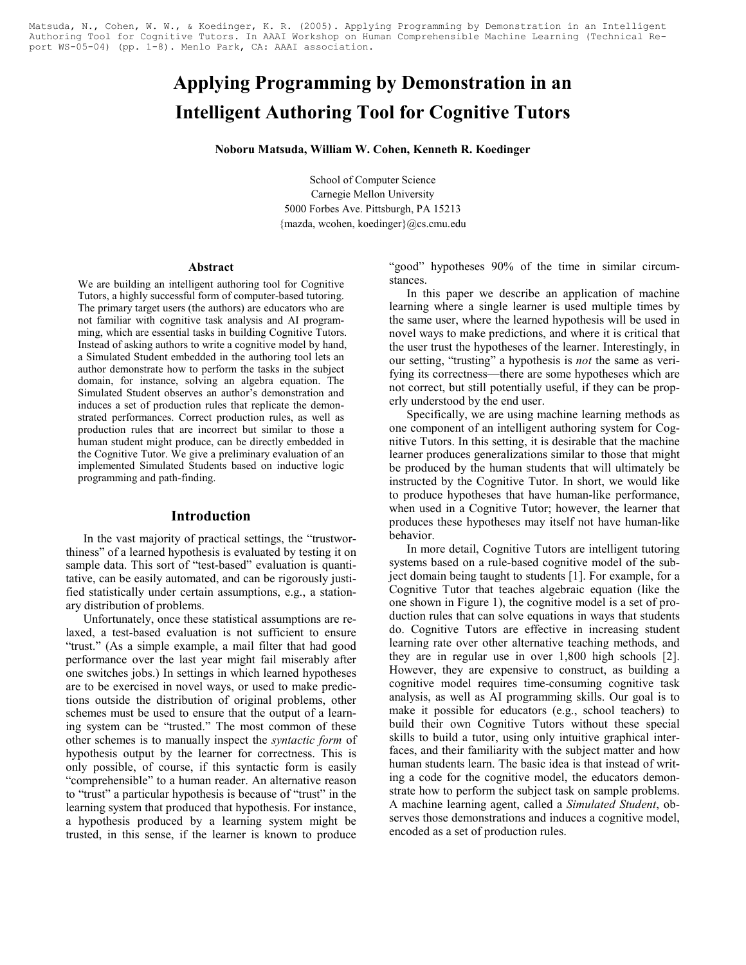Matsuda, N., Cohen, W. W., & Koedinger, K. R. (2005). Applying Programming by Demonstration in an Intelligent Authoring Tool for Cognitive Tutors. In AAAI Workshop on Human Comprehensible Machine Learning (Technical Report WS-05-04) (pp. 1-8). Menlo Park, CA: AAAI association.

# Applying Programming by Demonstration in an Intelligent Authoring Tool for Cognitive Tutors

Noboru Matsuda, William W. Cohen, Kenneth R. Koedinger

School of Computer Science Carnegie Mellon University 5000 Forbes Ave. Pittsburgh, PA 15213 {mazda, wcohen, koedinger}@cs.cmu.edu

#### Abstract

We are building an intelligent authoring tool for Cognitive Tutors, a highly successful form of computer-based tutoring. The primary target users (the authors) are educators who are not familiar with cognitive task analysis and AI programming, which are essential tasks in building Cognitive Tutors. Instead of asking authors to write a cognitive model by hand, a Simulated Student embedded in the authoring tool lets an author demonstrate how to perform the tasks in the subject domain, for instance, solving an algebra equation. The Simulated Student observes an author's demonstration and induces a set of production rules that replicate the demonstrated performances. Correct production rules, as well as production rules that are incorrect but similar to those a human student might produce, can be directly embedded in the Cognitive Tutor. We give a preliminary evaluation of an implemented Simulated Students based on inductive logic programming and path-finding.

## Introduction

In the vast majority of practical settings, the "trustworthiness" of a learned hypothesis is evaluated by testing it on sample data. This sort of "test-based" evaluation is quantitative, can be easily automated, and can be rigorously justified statistically under certain assumptions, e.g., a stationary distribution of problems.

Unfortunately, once these statistical assumptions are relaxed, a test-based evaluation is not sufficient to ensure "trust." (As a simple example, a mail filter that had good performance over the last year might fail miserably after one switches jobs.) In settings in which learned hypotheses are to be exercised in novel ways, or used to make predictions outside the distribution of original problems, other schemes must be used to ensure that the output of a learning system can be "trusted." The most common of these other schemes is to manually inspect the syntactic form of hypothesis output by the learner for correctness. This is only possible, of course, if this syntactic form is easily "comprehensible" to a human reader. An alternative reason to "trust" a particular hypothesis is because of "trust" in the learning system that produced that hypothesis. For instance, a hypothesis produced by a learning system might be trusted, in this sense, if the learner is known to produce "good" hypotheses 90% of the time in similar circumstances.

In this paper we describe an application of machine learning where a single learner is used multiple times by the same user, where the learned hypothesis will be used in novel ways to make predictions, and where it is critical that the user trust the hypotheses of the learner. Interestingly, in our setting, "trusting" a hypothesis is *not* the same as verifying its correctness—there are some hypotheses which are not correct, but still potentially useful, if they can be properly understood by the end user.

Specifically, we are using machine learning methods as one component of an intelligent authoring system for Cognitive Tutors. In this setting, it is desirable that the machine learner produces generalizations similar to those that might be produced by the human students that will ultimately be instructed by the Cognitive Tutor. In short, we would like to produce hypotheses that have human-like performance, when used in a Cognitive Tutor; however, the learner that produces these hypotheses may itself not have human-like behavior.

In more detail, Cognitive Tutors are intelligent tutoring systems based on a rule-based cognitive model of the subject domain being taught to students [1]. For example, for a Cognitive Tutor that teaches algebraic equation (like the one shown in Figure 1), the cognitive model is a set of production rules that can solve equations in ways that students do. Cognitive Tutors are effective in increasing student learning rate over other alternative teaching methods, and they are in regular use in over 1,800 high schools [2]. However, they are expensive to construct, as building a cognitive model requires time-consuming cognitive task analysis, as well as AI programming skills. Our goal is to make it possible for educators (e.g., school teachers) to build their own Cognitive Tutors without these special skills to build a tutor, using only intuitive graphical interfaces, and their familiarity with the subject matter and how human students learn. The basic idea is that instead of writing a code for the cognitive model, the educators demonstrate how to perform the subject task on sample problems. A machine learning agent, called a Simulated Student, observes those demonstrations and induces a cognitive model, encoded as a set of production rules.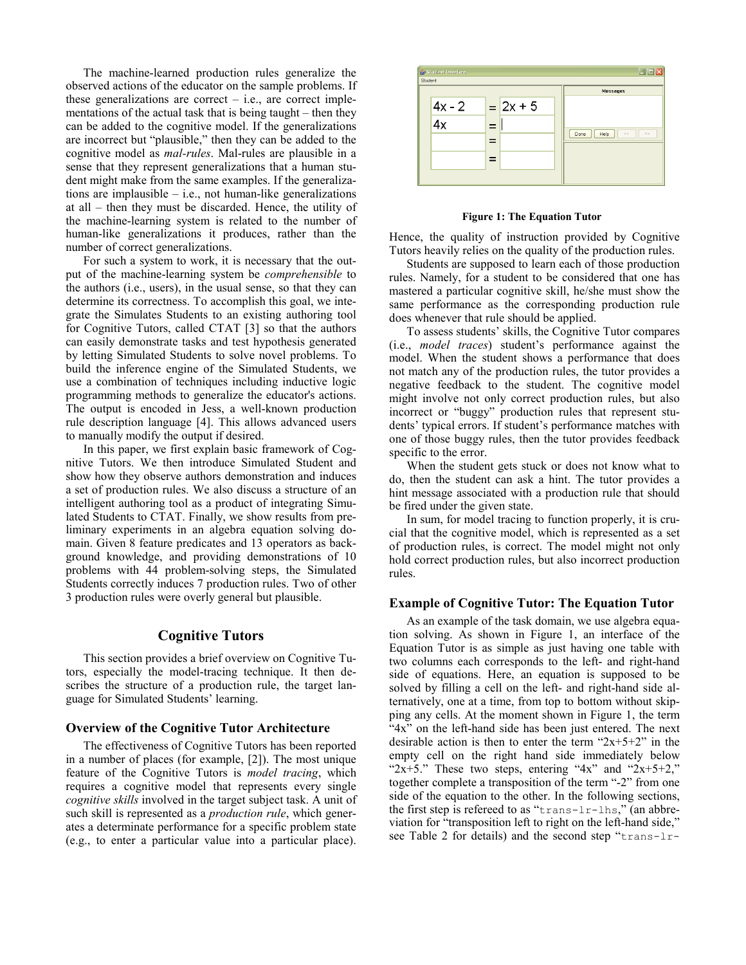The machine-learned production rules generalize the observed actions of the educator on the sample problems. If these generalizations are correct – i.e., are correct implementations of the actual task that is being taught – then they can be added to the cognitive model. If the generalizations are incorrect but "plausible," then they can be added to the cognitive model as mal-rules. Mal-rules are plausible in a sense that they represent generalizations that a human student might make from the same examples. If the generalizations are implausible – i.e., not human-like generalizations at all – then they must be discarded. Hence, the utility of the machine-learning system is related to the number of human-like generalizations it produces, rather than the number of correct generalizations.

For such a system to work, it is necessary that the output of the machine-learning system be comprehensible to the authors (i.e., users), in the usual sense, so that they can determine its correctness. To accomplish this goal, we integrate the Simulates Students to an existing authoring tool for Cognitive Tutors, called CTAT [3] so that the authors can easily demonstrate tasks and test hypothesis generated by letting Simulated Students to solve novel problems. To build the inference engine of the Simulated Students, we use a combination of techniques including inductive logic programming methods to generalize the educator's actions. The output is encoded in Jess, a well-known production rule description language [4]. This allows advanced users to manually modify the output if desired.

In this paper, we first explain basic framework of Cognitive Tutors. We then introduce Simulated Student and show how they observe authors demonstration and induces a set of production rules. We also discuss a structure of an intelligent authoring tool as a product of integrating Simulated Students to CTAT. Finally, we show results from preliminary experiments in an algebra equation solving domain. Given 8 feature predicates and 13 operators as background knowledge, and providing demonstrations of 10 problems with 44 problem-solving steps, the Simulated Students correctly induces 7 production rules. Two of other 3 production rules were overly general but plausible.

# Cognitive Tutors

This section provides a brief overview on Cognitive Tutors, especially the model-tracing technique. It then describes the structure of a production rule, the target language for Simulated Students' learning.

#### Overview of the Cognitive Tutor Architecture

The effectiveness of Cognitive Tutors has been reported in a number of places (for example, [2]). The most unique feature of the Cognitive Tutors is model tracing, which requires a cognitive model that represents every single cognitive skills involved in the target subject task. A unit of such skill is represented as a *production rule*, which generates a determinate performance for a specific problem state (e.g., to enter a particular value into a particular place).



Figure 1: The Equation Tutor

Hence, the quality of instruction provided by Cognitive Tutors heavily relies on the quality of the production rules.

Students are supposed to learn each of those production rules. Namely, for a student to be considered that one has mastered a particular cognitive skill, he/she must show the same performance as the corresponding production rule does whenever that rule should be applied.

To assess students' skills, the Cognitive Tutor compares (i.e., model traces) student's performance against the model. When the student shows a performance that does not match any of the production rules, the tutor provides a negative feedback to the student. The cognitive model might involve not only correct production rules, but also incorrect or "buggy" production rules that represent students' typical errors. If student's performance matches with one of those buggy rules, then the tutor provides feedback specific to the error.

When the student gets stuck or does not know what to do, then the student can ask a hint. The tutor provides a hint message associated with a production rule that should be fired under the given state.

In sum, for model tracing to function properly, it is crucial that the cognitive model, which is represented as a set of production rules, is correct. The model might not only hold correct production rules, but also incorrect production rules.

#### Example of Cognitive Tutor: The Equation Tutor

As an example of the task domain, we use algebra equation solving. As shown in Figure 1, an interface of the Equation Tutor is as simple as just having one table with two columns each corresponds to the left- and right-hand side of equations. Here, an equation is supposed to be solved by filling a cell on the left- and right-hand side alternatively, one at a time, from top to bottom without skipping any cells. At the moment shown in Figure 1, the term "4x" on the left-hand side has been just entered. The next desirable action is then to enter the term " $2x+5+2$ " in the empty cell on the right hand side immediately below " $2x+5$ ." These two steps, entering " $4x$ " and " $2x+5+2$ ," together complete a transposition of the term "-2" from one side of the equation to the other. In the following sections, the first step is refereed to as "trans-lr-lhs," (an abbreviation for "transposition left to right on the left-hand side," see Table 2 for details) and the second step "trans-lr-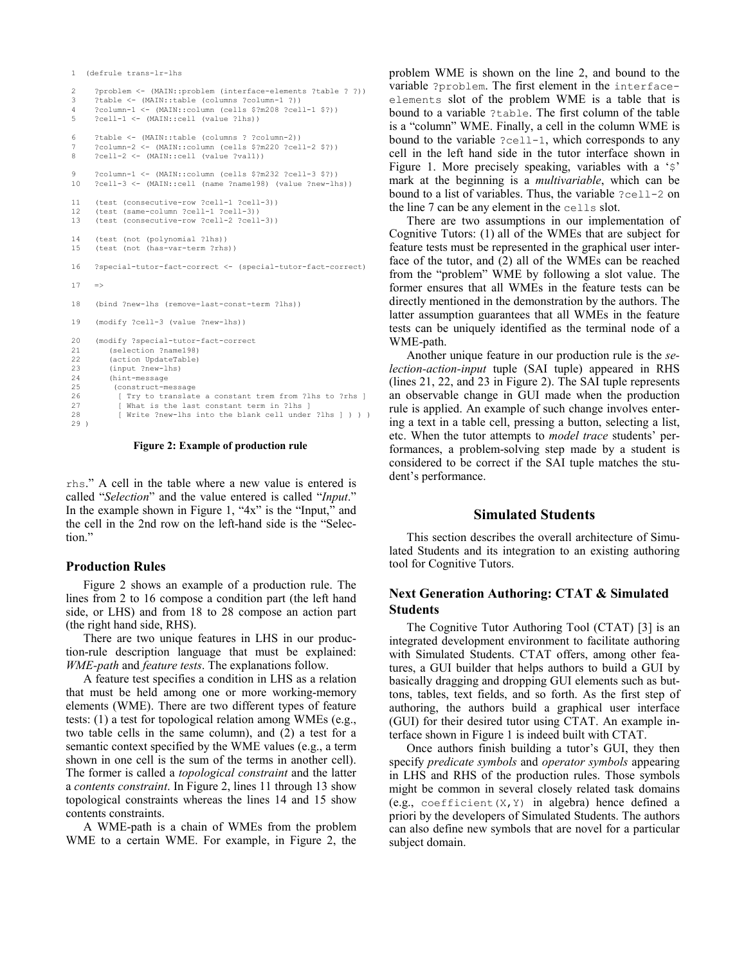```
1 (defrule trans-lr-lhs
```

```
2 ?problem <- (MAIN::problem (interface-elements ?table ? ?))
3 ?table <- (MAIN::table (columns ?column-1 ?))
4 ?column-1 <- (MAIN::column (cells $?m208 ?cell-1 $?))
     5 ?cell-1 <- (MAIN::cell (value ?lhs))
6 ?table <- (MAIN::table (columns ? ?column-2))
     7 ?column-2 <- (MAIN::column (cells $?m220 ?cell-2 $?))
8 ?cell-2 <- (MAIN::cell (value ?val1))
9 ?column-1 <- (MAIN::column (cells $?m232 ?cell-3 $?))
10 ?cell-3 <- (MAIN::cell (name ?name198) (value ?new-lhs))
11 (test (consecutive-row ?cell-1 ?cell-3))
12 (test (same-column ?cell-1 ?cell-3))
13 (test (consecutive-row ?cell-2 ?cell-3))
14 (test (not (polynomial ?lhs))
15 (test (not (has-var-term ?rhs))
16 ?special-tutor-fact-correct <- (special-tutor-fact-correct)
17 = >18 (bind ?new-lhs (remove-last-const-term ?lhs))
19 (modify ?cell-3 (value ?new-lhs))
20 (modify ?special-tutor-fact-correct
21 (selection ?name198)
22 (action UpdateTable)
23 (input ?new-lhs)
24 (hint-message<br>25 (construct-me
25 (construct-message<br>26 [ Try to translate
          [ Try to translate a constant trem from ?lhs to ?rhs ]
27 [ What is the last constant term in ?lhs ]<br>28 [ Write ?new-lhs into the blank cell under
          [ Write ?new-lhs into the blank cell under ?lhs ] ) ) )
29 )
```
Figure 2: Example of production rule

rhs." A cell in the table where a new value is entered is called "Selection" and the value entered is called "Input." In the example shown in Figure 1, " $4x$ " is the "Input," and the cell in the 2nd row on the left-hand side is the "Selection."

### Production Rules

Figure 2 shows an example of a production rule. The lines from 2 to 16 compose a condition part (the left hand side, or LHS) and from 18 to 28 compose an action part (the right hand side, RHS).

There are two unique features in LHS in our production-rule description language that must be explained: WME-path and feature tests. The explanations follow.

A feature test specifies a condition in LHS as a relation that must be held among one or more working-memory elements (WME). There are two different types of feature tests: (1) a test for topological relation among WMEs (e.g., two table cells in the same column), and (2) a test for a semantic context specified by the WME values (e.g., a term shown in one cell is the sum of the terms in another cell). The former is called a topological constraint and the latter a contents constraint. In Figure 2, lines 11 through 13 show topological constraints whereas the lines 14 and 15 show contents constraints.

A WME-path is a chain of WMEs from the problem WME to a certain WME. For example, in Figure 2, the

problem WME is shown on the line 2, and bound to the variable ?problem. The first element in the interfaceelements slot of the problem WME is a table that is bound to a variable ?table. The first column of the table is a "column" WME. Finally, a cell in the column WME is bound to the variable ?cell-1, which corresponds to any cell in the left hand side in the tutor interface shown in Figure 1. More precisely speaking, variables with a '\$' mark at the beginning is a multivariable, which can be bound to a list of variables. Thus, the variable ?cell-2 on the line 7 can be any element in the cells slot.

There are two assumptions in our implementation of Cognitive Tutors: (1) all of the WMEs that are subject for feature tests must be represented in the graphical user interface of the tutor, and (2) all of the WMEs can be reached from the "problem" WME by following a slot value. The former ensures that all WMEs in the feature tests can be directly mentioned in the demonstration by the authors. The latter assumption guarantees that all WMEs in the feature tests can be uniquely identified as the terminal node of a WME-path.

Another unique feature in our production rule is the selection-action-input tuple (SAI tuple) appeared in RHS (lines 21, 22, and 23 in Figure 2). The SAI tuple represents an observable change in GUI made when the production rule is applied. An example of such change involves entering a text in a table cell, pressing a button, selecting a list, etc. When the tutor attempts to model trace students' performances, a problem-solving step made by a student is considered to be correct if the SAI tuple matches the student's performance.

### Simulated Students

This section describes the overall architecture of Simulated Students and its integration to an existing authoring tool for Cognitive Tutors.

# Next Generation Authoring: CTAT & Simulated Students

The Cognitive Tutor Authoring Tool (CTAT) [3] is an integrated development environment to facilitate authoring with Simulated Students. CTAT offers, among other features, a GUI builder that helps authors to build a GUI by basically dragging and dropping GUI elements such as buttons, tables, text fields, and so forth. As the first step of authoring, the authors build a graphical user interface (GUI) for their desired tutor using CTAT. An example interface shown in Figure 1 is indeed built with CTAT.

Once authors finish building a tutor's GUI, they then specify predicate symbols and operator symbols appearing in LHS and RHS of the production rules. Those symbols might be common in several closely related task domains (e.g., coefficient  $(X, Y)$  in algebra) hence defined a priori by the developers of Simulated Students. The authors can also define new symbols that are novel for a particular subject domain.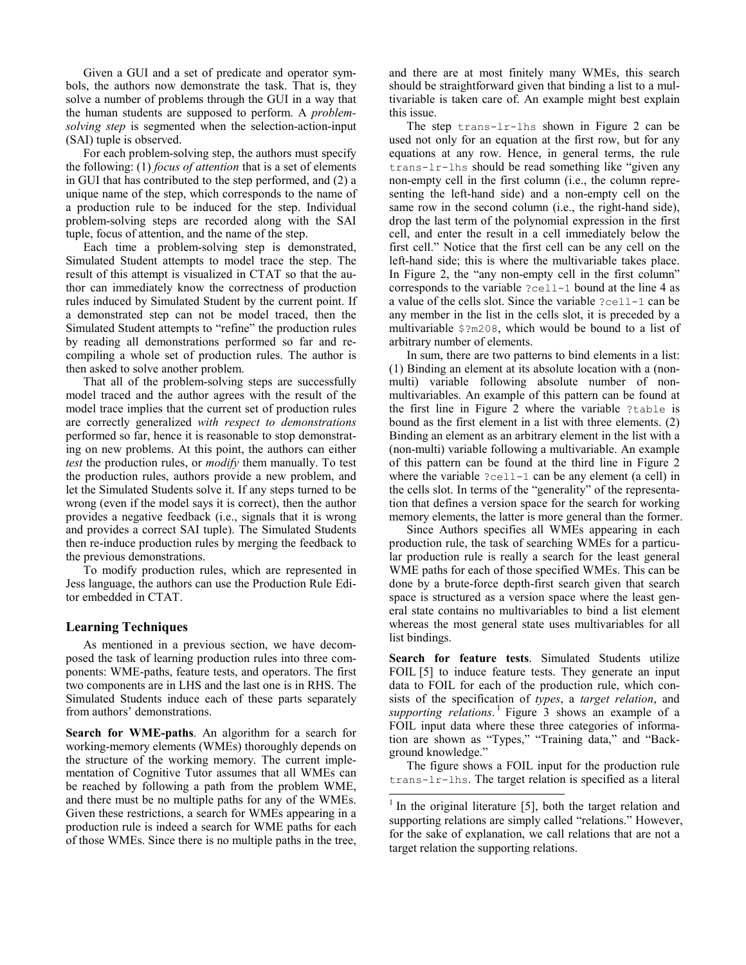Given a GUI and a set of predicate and operator symbols, the authors now demonstrate the task. That is, they solve a number of problems through the GUI in a way that the human students are supposed to perform. A problemsolving step is segmented when the selection-action-input (SAI) tuple is observed.

For each problem-solving step, the authors must specify the following: (1) focus of attention that is a set of elements in GUI that has contributed to the step performed, and (2) a unique name of the step, which corresponds to the name of a production rule to be induced for the step. Individual problem-solving steps are recorded along with the SAI tuple, focus of attention, and the name of the step.

Each time a problem-solving step is demonstrated, Simulated Student attempts to model trace the step. The result of this attempt is visualized in CTAT so that the author can immediately know the correctness of production rules induced by Simulated Student by the current point. If a demonstrated step can not be model traced, then the Simulated Student attempts to "refine" the production rules by reading all demonstrations performed so far and recompiling a whole set of production rules. The author is then asked to solve another problem.

That all of the problem-solving steps are successfully model traced and the author agrees with the result of the model trace implies that the current set of production rules are correctly generalized with respect to demonstrations performed so far, hence it is reasonable to stop demonstrating on new problems. At this point, the authors can either test the production rules, or *modify* them manually. To test the production rules, authors provide a new problem, and let the Simulated Students solve it. If any steps turned to be wrong (even if the model says it is correct), then the author provides a negative feedback (i.e., signals that it is wrong and provides a correct SAI tuple). The Simulated Students then re-induce production rules by merging the feedback to the previous demonstrations.

To modify production rules, which are represented in Jess language, the authors can use the Production Rule Editor embedded in CTAT.

### Learning Techniques

As mentioned in a previous section, we have decomposed the task of learning production rules into three components: WME-paths, feature tests, and operators. The first two components are in LHS and the last one is in RHS. The Simulated Students induce each of these parts separately from authors' demonstrations.

Search for WME-paths. An algorithm for a search for working-memory elements (WMEs) thoroughly depends on the structure of the working memory. The current implementation of Cognitive Tutor assumes that all WMEs can be reached by following a path from the problem WME, and there must be no multiple paths for any of the WMEs. Given these restrictions, a search for WMEs appearing in a production rule is indeed a search for WME paths for each of those WMEs. Since there is no multiple paths in the tree, and there are at most finitely many WMEs, this search should be straightforward given that binding a list to a multivariable is taken care of. An example might best explain this issue.

The step trans-lr-lhs shown in Figure 2 can be used not only for an equation at the first row, but for any equations at any row. Hence, in general terms, the rule trans-lr-lhs should be read something like "given any non-empty cell in the first column (i.e., the column representing the left-hand side) and a non-empty cell on the same row in the second column (i.e., the right-hand side), drop the last term of the polynomial expression in the first cell, and enter the result in a cell immediately below the first cell." Notice that the first cell can be any cell on the left-hand side; this is where the multivariable takes place. In Figure 2, the "any non-empty cell in the first column" corresponds to the variable ?cell-1 bound at the line 4 as a value of the cells slot. Since the variable ?cell-1 can be any member in the list in the cells slot, it is preceded by a multivariable \$?m208, which would be bound to a list of arbitrary number of elements.

In sum, there are two patterns to bind elements in a list: (1) Binding an element at its absolute location with a (nonmulti) variable following absolute number of nonmultivariables. An example of this pattern can be found at the first line in Figure 2 where the variable ?table is bound as the first element in a list with three elements. (2) Binding an element as an arbitrary element in the list with a (non-multi) variable following a multivariable. An example of this pattern can be found at the third line in Figure 2 where the variable ?cell-1 can be any element (a cell) in the cells slot. In terms of the "generality" of the representation that defines a version space for the search for working memory elements, the latter is more general than the former.

Since Authors specifies all WMEs appearing in each production rule, the task of searching WMEs for a particular production rule is really a search for the least general WME paths for each of those specified WMEs. This can be done by a brute-force depth-first search given that search space is structured as a version space where the least general state contains no multivariables to bind a list element whereas the most general state uses multivariables for all list bindings.

Search for feature tests. Simulated Students utilize FOIL [5] to induce feature tests. They generate an input data to FOIL for each of the production rule, which consists of the specification of types, a target relation, and supporting relations.<sup>1</sup> Figure  $\overline{3}$  shows an example of a FOIL input data where these three categories of information are shown as "Types," "Training data," and "Background knowledge."

The figure shows a FOIL input for the production rule trans-lr-lhs. The target relation is specified as a literal

 $\overline{a}$ 

 $<sup>1</sup>$  In the original literature [5], both the target relation and</sup> supporting relations are simply called "relations." However, for the sake of explanation, we call relations that are not a target relation the supporting relations.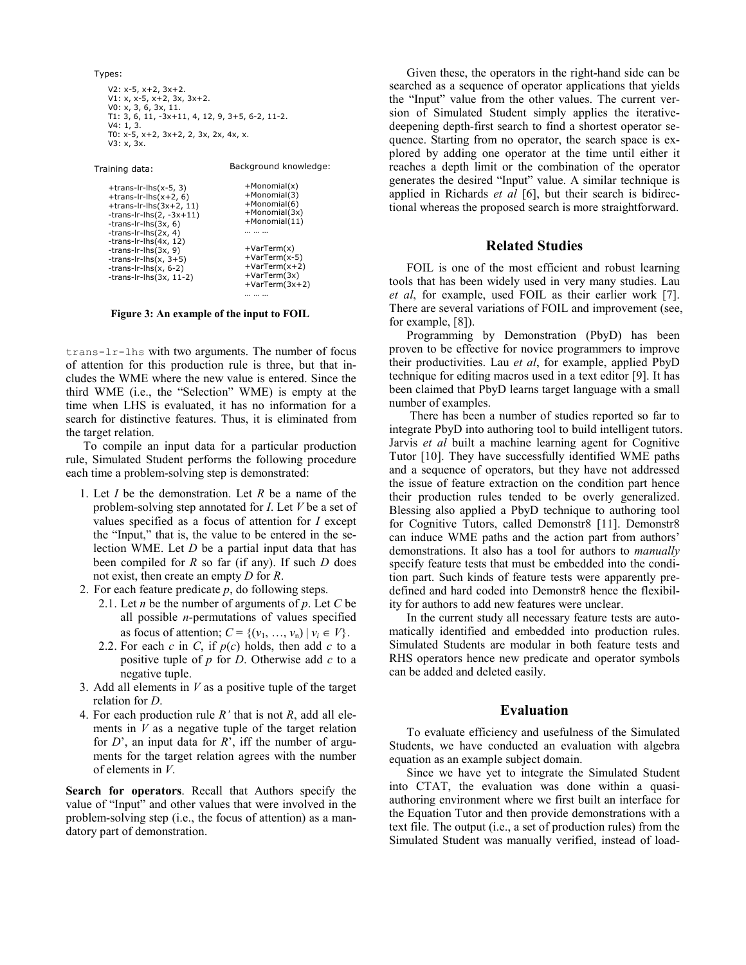```
Types:
   V2: x-5, x+2, 3x+2.
   V1: x, x-5, x+2, 3x, 3x+2.
   V0: x, 3, 6, 3x, 11.
   T1: 3, 6, 11, -3x+11, 4, 12, 9, 3+5, 6-2, 11-2.
   V4: 1, 3.T0: x-5, x+2, 3x+2, 2, 3x, 2x, 4x, x.
   V3: x, 3x.
Training data: Background knowledge:
```

```
+trans-lr-lhs(x-5, 3)
+trans-lr-lhs(x+2, 6)
+trans-lr-lhs(3x+2, 11)-trans-lr-lhs(2, -3x+11)
-trans-lr-lhs(3x, 6)
-trans-lr-lhs(2x, 4)
-trans-lr-lhs(4x, 12)-trans-lr-lhs(3x, 9)-trans-lr-lhs(x, 3+5)-trans-lr-lhs(x, 6-2)
-trans-lr-lhs(3x, 11-2)
                                     +Monomial(x)
                                     +Monomial(3)
                                     +Monomial(6)
                                     +Monomial(3x)
                                     +Monomial(11)… … …
                                     +VarTerm(x)
                                     +VarTerm(x-5)
                                     +VarTerm(x+2)
                                     +VarTerm(3x)
                                     +VarTerm(3x+2)
```
Figure 3: An example of the input to FOIL

… … …

trans-lr-lhs with two arguments. The number of focus of attention for this production rule is three, but that includes the WME where the new value is entered. Since the third WME (i.e., the "Selection" WME) is empty at the time when LHS is evaluated, it has no information for a search for distinctive features. Thus, it is eliminated from the target relation.

To compile an input data for a particular production rule, Simulated Student performs the following procedure each time a problem-solving step is demonstrated:

- 1. Let  $I$  be the demonstration. Let  $R$  be a name of the problem-solving step annotated for I. Let V be a set of values specified as a focus of attention for I except the "Input," that is, the value to be entered in the selection WME. Let  $D$  be a partial input data that has been compiled for  $R$  so far (if any). If such  $D$  does not exist, then create an empty D for R.
- 2. For each feature predicate  $p$ , do following steps.
	- 2.1. Let *n* be the number of arguments of  $p$ . Let  $C$  be all possible  $n$ -permutations of values specified as focus of attention;  $C = \{ (v_1, \ldots, v_n) \mid v_i \in V \}.$
	- 2.2. For each c in C, if  $p(c)$  holds, then add c to a positive tuple of  $p$  for  $D$ . Otherwise add  $c$  to a negative tuple.
- 3. Add all elements in  $V$  as a positive tuple of the target relation for D.
- 4. For each production rule  $R'$  that is not  $R$ , add all elements in  $V$  as a negative tuple of the target relation for  $D'$ , an input data for  $R'$ , iff the number of arguments for the target relation agrees with the number of elements in V.

Search for operators. Recall that Authors specify the value of "Input" and other values that were involved in the problem-solving step (i.e., the focus of attention) as a mandatory part of demonstration.

Given these, the operators in the right-hand side can be searched as a sequence of operator applications that yields the "Input" value from the other values. The current version of Simulated Student simply applies the iterativedeepening depth-first search to find a shortest operator sequence. Starting from no operator, the search space is explored by adding one operator at the time until either it reaches a depth limit or the combination of the operator generates the desired "Input" value. A similar technique is applied in Richards  $et$   $al$  [6], but their search is bidirectional whereas the proposed search is more straightforward.

## Related Studies

FOIL is one of the most efficient and robust learning tools that has been widely used in very many studies. Lau et al, for example, used FOIL as their earlier work [7]. There are several variations of FOIL and improvement (see, for example, [8]).

Programming by Demonstration (PbyD) has been proven to be effective for novice programmers to improve their productivities. Lau et al, for example, applied PbyD technique for editing macros used in a text editor [9]. It has been claimed that PbyD learns target language with a small number of examples.

 There has been a number of studies reported so far to integrate PbyD into authoring tool to build intelligent tutors. Jarvis et al built a machine learning agent for Cognitive Tutor [10]. They have successfully identified WME paths and a sequence of operators, but they have not addressed the issue of feature extraction on the condition part hence their production rules tended to be overly generalized. Blessing also applied a PbyD technique to authoring tool for Cognitive Tutors, called Demonstr8 [11]. Demonstr8 can induce WME paths and the action part from authors' demonstrations. It also has a tool for authors to manually specify feature tests that must be embedded into the condition part. Such kinds of feature tests were apparently predefined and hard coded into Demonstr8 hence the flexibility for authors to add new features were unclear.

In the current study all necessary feature tests are automatically identified and embedded into production rules. Simulated Students are modular in both feature tests and RHS operators hence new predicate and operator symbols can be added and deleted easily.

#### Evaluation

To evaluate efficiency and usefulness of the Simulated Students, we have conducted an evaluation with algebra equation as an example subject domain.

Since we have yet to integrate the Simulated Student into CTAT, the evaluation was done within a quasiauthoring environment where we first built an interface for the Equation Tutor and then provide demonstrations with a text file. The output (i.e., a set of production rules) from the Simulated Student was manually verified, instead of load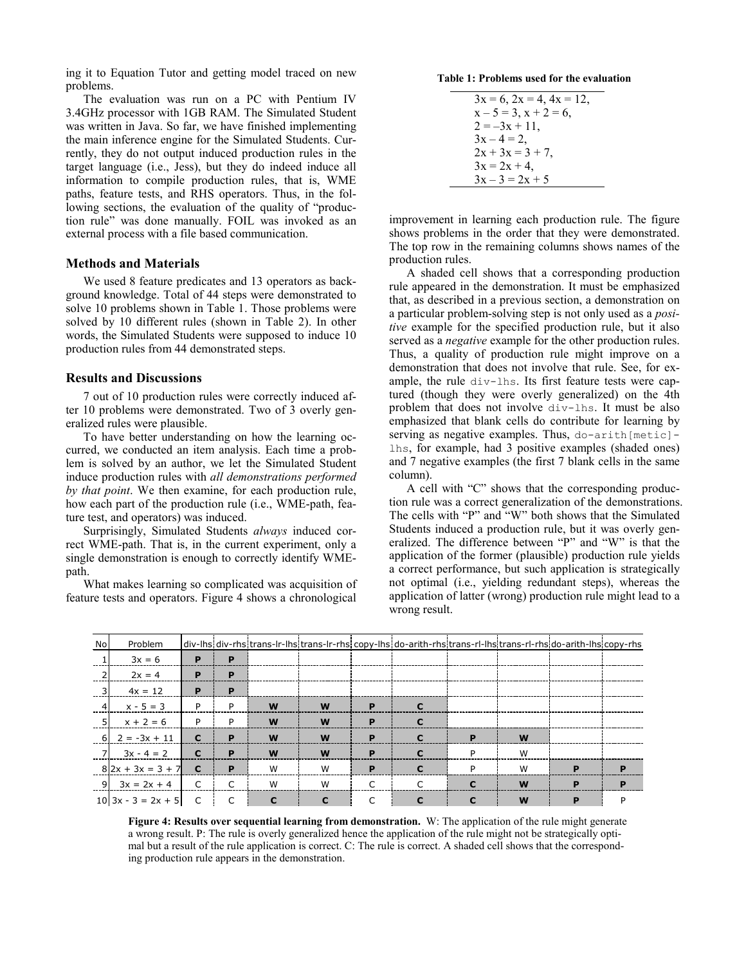ing it to Equation Tutor and getting model traced on new problems.

The evaluation was run on a PC with Pentium IV 3.4GHz processor with 1GB RAM. The Simulated Student was written in Java. So far, we have finished implementing the main inference engine for the Simulated Students. Currently, they do not output induced production rules in the target language (i.e., Jess), but they do indeed induce all information to compile production rules, that is, WME paths, feature tests, and RHS operators. Thus, in the following sections, the evaluation of the quality of "production rule" was done manually. FOIL was invoked as an external process with a file based communication.

#### Methods and Materials

We used 8 feature predicates and 13 operators as background knowledge. Total of 44 steps were demonstrated to solve 10 problems shown in Table 1. Those problems were solved by 10 different rules (shown in Table 2). In other words, the Simulated Students were supposed to induce 10 production rules from 44 demonstrated steps.

#### Results and Discussions

7 out of 10 production rules were correctly induced after 10 problems were demonstrated. Two of 3 overly generalized rules were plausible.

To have better understanding on how the learning occurred, we conducted an item analysis. Each time a problem is solved by an author, we let the Simulated Student induce production rules with all demonstrations performed by that point. We then examine, for each production rule, how each part of the production rule (i.e., WME-path, feature test, and operators) was induced.

Surprisingly, Simulated Students always induced correct WME-path. That is, in the current experiment, only a single demonstration is enough to correctly identify WMEpath.

What makes learning so complicated was acquisition of feature tests and operators. Figure 4 shows a chronological

Table 1: Problems used for the evaluation

| $3x = 6$ , $2x = 4$ , $4x = 12$ , |
|-----------------------------------|
| $x - 5 = 3$ , $x + 2 = 6$ ,       |
| $2 = -3x + 11$ ,                  |
| $3x - 4 = 2$                      |
| $2x + 3x = 3 + 7$ ,               |
| $3x = 2x + 4$ ,                   |
| $3x - 3 = 2x + 5$                 |

improvement in learning each production rule. The figure shows problems in the order that they were demonstrated. The top row in the remaining columns shows names of the production rules.

A shaded cell shows that a corresponding production rule appeared in the demonstration. It must be emphasized that, as described in a previous section, a demonstration on a particular problem-solving step is not only used as a positive example for the specified production rule, but it also served as a *negative* example for the other production rules. Thus, a quality of production rule might improve on a demonstration that does not involve that rule. See, for example, the rule div-lhs. Its first feature tests were captured (though they were overly generalized) on the 4th problem that does not involve div-lhs. It must be also emphasized that blank cells do contribute for learning by serving as negative examples. Thus,  $d$ o-arith $[metic]$ lhs, for example, had 3 positive examples (shaded ones) and 7 negative examples (the first 7 blank cells in the same column).

A cell with "C" shows that the corresponding production rule was a correct generalization of the demonstrations. The cells with "P" and "W" both shows that the Simulated Students induced a production rule, but it was overly generalized. The difference between "P" and "W" is that the application of the former (plausible) production rule yields a correct performance, but such application is strategically not optimal (i.e., yielding redundant steps), whereas the application of latter (wrong) production rule might lead to a wrong result.

| No       | Problem                 |                |   |   |   |           | div-lhs div-rhs trans-lr-lhs trans-lr-rhs copy-lhs do-arith-rhs trans-rl-lhs trans-rl-rhs do-arith-lhs copy-rhs |   |   |   |   |
|----------|-------------------------|----------------|---|---|---|-----------|-----------------------------------------------------------------------------------------------------------------|---|---|---|---|
|          | $3x = 6$                | P              | P |   |   |           |                                                                                                                 |   |   |   |   |
|          | $2x = 4$                | P              | P |   |   |           |                                                                                                                 |   |   |   |   |
| - 31     | $4x = 12$               | P              | P |   |   |           |                                                                                                                 |   |   |   |   |
| $\sim$ 4 | $x - 5 = 3$             | P              | P | W | W | P         |                                                                                                                 |   |   |   |   |
| - 51     | $x + 2 = 6$             | P              | P | W | W | P         |                                                                                                                 |   |   |   |   |
|          | $6$ 2 = $-3x + 11$      | $\mathbf{C}$   | P | W | W | P         |                                                                                                                 | Þ | W |   |   |
|          | $7 \quad 3x - 4 = 2$    | $\mathbf{C}$   | P | W | W | P         |                                                                                                                 | P | W |   |   |
|          | $8$  2x + 3x = 3 + 7  C |                | P | W | W | P         |                                                                                                                 | P | W | P | D |
|          | $9 \mid 3x = 2x + 4$    | $\overline{C}$ | C | W | W | $\subset$ | ┌                                                                                                               |   | W | D | D |
|          | $10 3x - 3 = 2x + 5$ C  |                | C | C | C |           | с                                                                                                               | C | W | P |   |

Figure 4: Results over sequential learning from demonstration. W: The application of the rule might generate a wrong result. P: The rule is overly generalized hence the application of the rule might not be strategically optimal but a result of the rule application is correct. C: The rule is correct. A shaded cell shows that the corresponding production rule appears in the demonstration.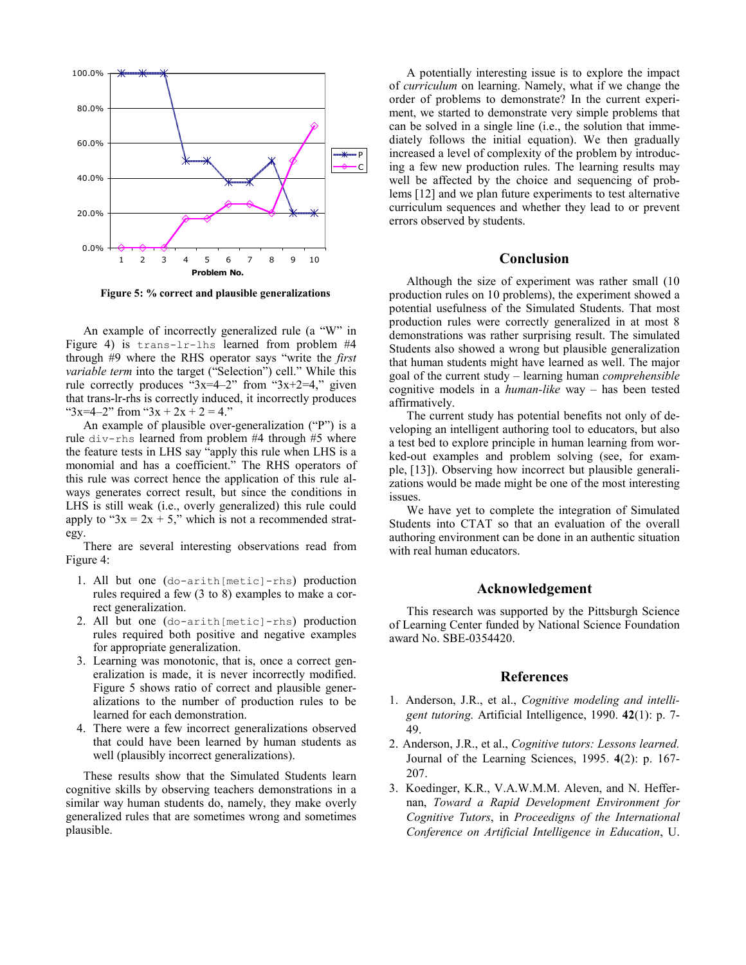

Figure 5: % correct and plausible generalizations

An example of incorrectly generalized rule (a "W" in Figure 4) is trans-lr-lhs learned from problem #4 through #9 where the RHS operator says "write the first variable term into the target ("Selection") cell." While this rule correctly produces " $3x=4-2$ " from " $3x+2=4$ ," given that trans-lr-rhs is correctly induced, it incorrectly produces " $3x=4-2$ " from " $3x + 2x + 2 = 4$ ."

An example of plausible over-generalization ("P") is a rule div-rhs learned from problem #4 through #5 where the feature tests in LHS say "apply this rule when LHS is a monomial and has a coefficient." The RHS operators of this rule was correct hence the application of this rule always generates correct result, but since the conditions in LHS is still weak (i.e., overly generalized) this rule could apply to " $3x = 2x + 5$ ," which is not a recommended strategy.

There are several interesting observations read from Figure 4:

- 1. All but one (do-arith[metic]-rhs) production rules required a few (3 to 8) examples to make a correct generalization.
- 2. All but one (do-arith[metic]-rhs) production rules required both positive and negative examples for appropriate generalization.
- 3. Learning was monotonic, that is, once a correct generalization is made, it is never incorrectly modified. Figure 5 shows ratio of correct and plausible generalizations to the number of production rules to be learned for each demonstration.
- 4. There were a few incorrect generalizations observed that could have been learned by human students as well (plausibly incorrect generalizations).

These results show that the Simulated Students learn cognitive skills by observing teachers demonstrations in a similar way human students do, namely, they make overly generalized rules that are sometimes wrong and sometimes plausible.

A potentially interesting issue is to explore the impact of curriculum on learning. Namely, what if we change the order of problems to demonstrate? In the current experiment, we started to demonstrate very simple problems that can be solved in a single line (i.e., the solution that immediately follows the initial equation). We then gradually increased a level of complexity of the problem by introducing a few new production rules. The learning results may well be affected by the choice and sequencing of problems [12] and we plan future experiments to test alternative curriculum sequences and whether they lead to or prevent errors observed by students.

## Conclusion

Although the size of experiment was rather small (10 production rules on 10 problems), the experiment showed a potential usefulness of the Simulated Students. That most production rules were correctly generalized in at most 8 demonstrations was rather surprising result. The simulated Students also showed a wrong but plausible generalization that human students might have learned as well. The major goal of the current study – learning human comprehensible cognitive models in a human-like way – has been tested affirmatively.

The current study has potential benefits not only of developing an intelligent authoring tool to educators, but also a test bed to explore principle in human learning from worked-out examples and problem solving (see, for example, [13]). Observing how incorrect but plausible generalizations would be made might be one of the most interesting issues.

We have yet to complete the integration of Simulated Students into CTAT so that an evaluation of the overall authoring environment can be done in an authentic situation with real human educators.

## Acknowledgement

This research was supported by the Pittsburgh Science of Learning Center funded by National Science Foundation award No. SBE-0354420.

## References

- 1. Anderson, J.R., et al., Cognitive modeling and intelligent tutoring. Artificial Intelligence, 1990. 42(1): p. 7- 49.
- 2. Anderson, J.R., et al., Cognitive tutors: Lessons learned. Journal of the Learning Sciences, 1995. 4(2): p. 167- 207.
- 3. Koedinger, K.R., V.A.W.M.M. Aleven, and N. Heffernan, Toward a Rapid Development Environment for Cognitive Tutors, in Proceedigns of the International Conference on Artificial Intelligence in Education, U.